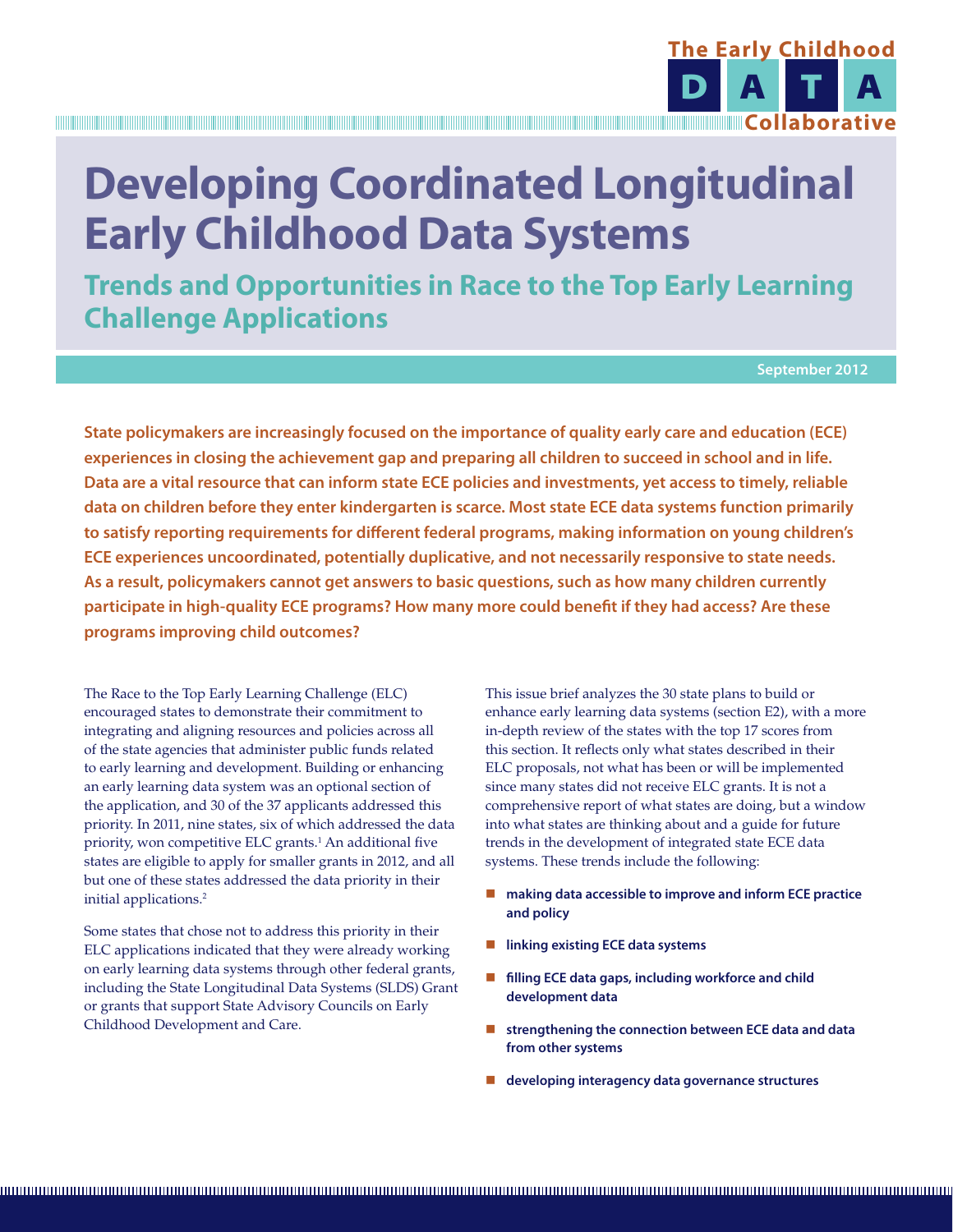

# **Developing Coordinated Longitudinal Early Childhood Data Systems**

**Trends and Opportunities in Race to the Top Early Learning Challenge Applications**

**September 2012**

**State policymakers are increasingly focused on the importance of quality early care and education (ECE) experiences in closing the achievement gap and preparing all children to succeed in school and in life. Data are a vital resource that can inform state ECE policies and investments, yet access to timely, reliable data on children before they enter kindergarten is scarce. Most state ECE data systems function primarily to satisfy reporting requirements for different federal programs, making information on young children's ECE experiences uncoordinated, potentially duplicative, and not necessarily responsive to state needs. As a result, policymakers cannot get answers to basic questions, such as how many children currently participate in high-quality ECE programs? How many more could benefit if they had access? Are these programs improving child outcomes?**

The Race to the Top Early Learning Challenge (ELC) encouraged states to demonstrate their commitment to integrating and aligning resources and policies across all of the state agencies that administer public funds related to early learning and development. Building or enhancing an early learning data system was an optional section of the application, and 30 of the 37 applicants addressed this priority. In 2011, nine states, six of which addressed the data priority, won competitive ELC grants.<sup>1</sup> An additional five states are eligible to apply for smaller grants in 2012, and all but one of these states addressed the data priority in their initial applications.<sup>2</sup>

Some states that chose not to address this priority in their ELC applications indicated that they were already working on early learning data systems through other federal grants, including the State Longitudinal Data Systems (SLDS) Grant or grants that support State Advisory Councils on Early Childhood Development and Care.

This issue brief analyzes the 30 state plans to build or enhance early learning data systems (section E2), with a more in-depth review of the states with the top 17 scores from this section. It reflects only what states described in their ELC proposals, not what has been or will be implemented since many states did not receive ELC grants. It is not a comprehensive report of what states are doing, but a window into what states are thinking about and a guide for future trends in the development of integrated state ECE data systems. These trends include the following:

- making data accessible to improve and inform ECE practice **and policy**
- **linking existing ECE data systems**
- **filling ECE data gaps, including workforce and child development data**
- **strengthening the connection between ECE data and data from other systems**
- **developing interagency data governance structures**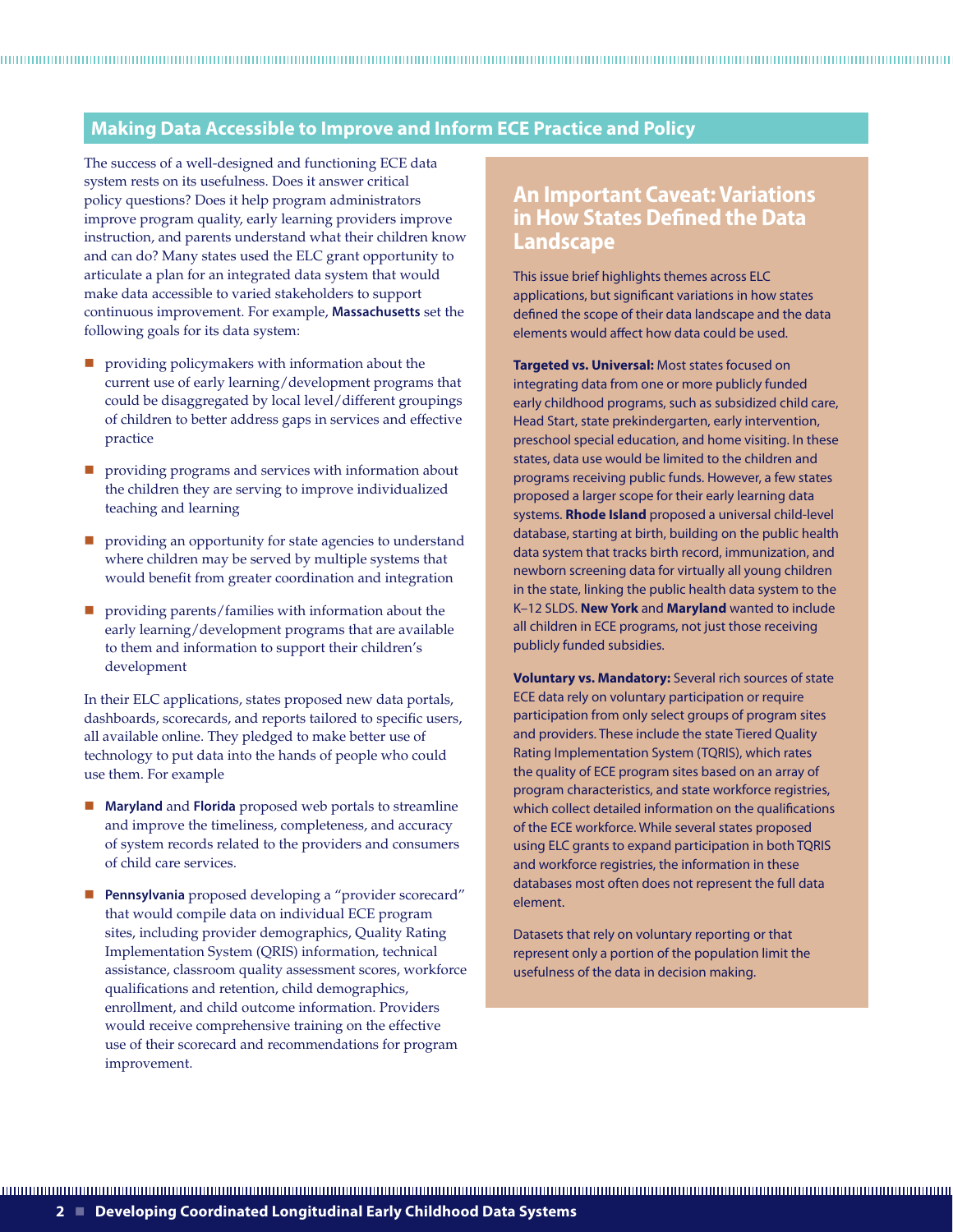# **Making Data Accessible to Improve and Inform ECE Practice and Policy**

The success of a well-designed and functioning ECE data system rests on its usefulness. Does it answer critical policy questions? Does it help program administrators improve program quality, early learning providers improve instruction, and parents understand what their children know and can do? Many states used the ELC grant opportunity to articulate a plan for an integrated data system that would make data accessible to varied stakeholders to support continuous improvement. For example, **Massachusetts** set the following goals for its data system:

- **P** providing policymakers with information about the current use of early learning/development programs that could be disaggregated by local level/different groupings of children to better address gaps in services and effective practice
- **P** providing programs and services with information about the children they are serving to improve individualized teaching and learning
- **P** providing an opportunity for state agencies to understand where children may be served by multiple systems that would benefit from greater coordination and integration
- providing parents/families with information about the early learning/development programs that are available to them and information to support their children's development

In their ELC applications, states proposed new data portals, dashboards, scorecards, and reports tailored to specific users, all available online. They pledged to make better use of technology to put data into the hands of people who could use them. For example

- **Maryland** and **Florida** proposed web portals to streamline and improve the timeliness, completeness, and accuracy of system records related to the providers and consumers of child care services.
- **Pennsylvania** proposed developing a "provider scorecard" that would compile data on individual ECE program sites, including provider demographics, Quality Rating Implementation System (QRIS) information, technical assistance, classroom quality assessment scores, workforce qualifications and retention, child demographics, enrollment, and child outcome information. Providers would receive comprehensive training on the effective use of their scorecard and recommendations for program improvement.

# **An Important Caveat: Variations in How States Defined the Data Landscape**

This issue brief highlights themes across ELC applications, but significant variations in how states defined the scope of their data landscape and the data elements would affect how data could be used.

**Targeted vs. Universal:** Most states focused on integrating data from one or more publicly funded early childhood programs, such as subsidized child care, Head Start, state prekindergarten, early intervention, preschool special education, and home visiting. In these states, data use would be limited to the children and programs receiving public funds. However, a few states proposed a larger scope for their early learning data systems. **Rhode Island** proposed a universal child-level database, starting at birth, building on the public health data system that tracks birth record, immunization, and newborn screening data for virtually all young children in the state, linking the public health data system to the K–12 SLDS. **New York** and **Maryland** wanted to include all children in ECE programs, not just those receiving publicly funded subsidies.

**Voluntary vs. Mandatory:** Several rich sources of state ECE data rely on voluntary participation or require participation from only select groups of program sites and providers. These include the state Tiered Quality Rating Implementation System (TQRIS), which rates the quality of ECE program sites based on an array of program characteristics, and state workforce registries, which collect detailed information on the qualifications of the ECE workforce. While several states proposed using ELC grants to expand participation in both TQRIS and workforce registries, the information in these databases most often does not represent the full data element.

Datasets that rely on voluntary reporting or that represent only a portion of the population limit the usefulness of the data in decision making.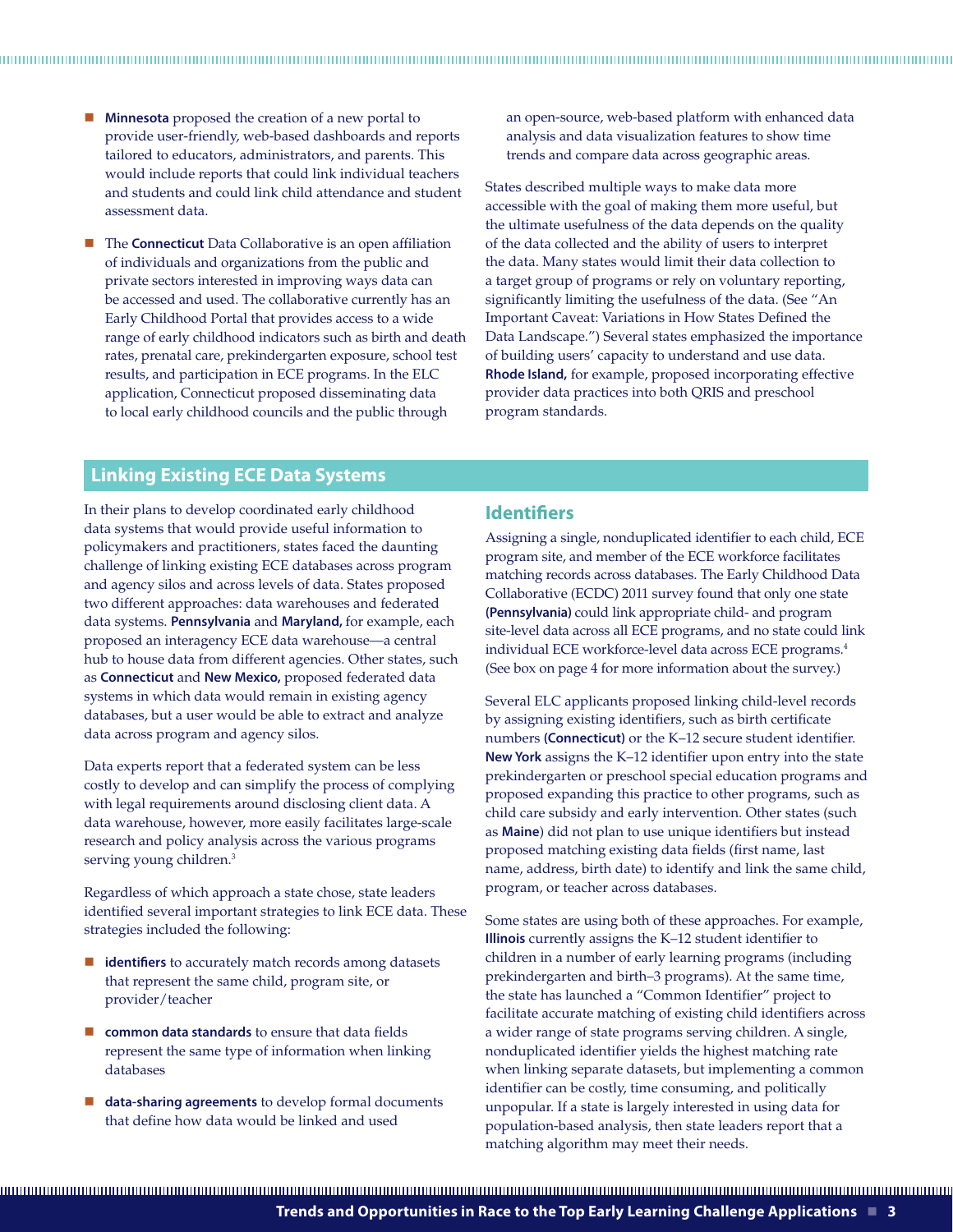- **Minnesota** proposed the creation of a new portal to provide user-friendly, web-based dashboards and reports tailored to educators, administrators, and parents. This would include reports that could link individual teachers and students and could link child attendance and student assessment data.
- The **Connecticut** Data Collaborative is an open affiliation of individuals and organizations from the public and private sectors interested in improving ways data can be accessed and used. The collaborative currently has an Early Childhood Portal that provides access to a wide range of early childhood indicators such as birth and death rates, prenatal care, prekindergarten exposure, school test results, and participation in ECE programs. In the ELC application, Connecticut proposed disseminating data to local early childhood councils and the public through

an open-source, web-based platform with enhanced data analysis and data visualization features to show time trends and compare data across geographic areas.

States described multiple ways to make data more accessible with the goal of making them more useful, but the ultimate usefulness of the data depends on the quality of the data collected and the ability of users to interpret the data. Many states would limit their data collection to a target group of programs or rely on voluntary reporting, significantly limiting the usefulness of the data. (See "An Important Caveat: Variations in How States Defined the Data Landscape.") Several states emphasized the importance of building users' capacity to understand and use data. **Rhode Island,** for example, proposed incorporating effective provider data practices into both QRIS and preschool program standards.

## **Linking Existing ECE Data Systems**

In their plans to develop coordinated early childhood data systems that would provide useful information to policymakers and practitioners, states faced the daunting challenge of linking existing ECE databases across program and agency silos and across levels of data. States proposed two different approaches: data warehouses and federated data systems. **Pennsylvania** and **Maryland,** for example, each proposed an interagency ECE data warehouse—a central hub to house data from different agencies. Other states, such as **Connecticut** and **New Mexico,** proposed federated data systems in which data would remain in existing agency databases, but a user would be able to extract and analyze data across program and agency silos.

Data experts report that a federated system can be less costly to develop and can simplify the process of complying with legal requirements around disclosing client data. A data warehouse, however, more easily facilitates large-scale research and policy analysis across the various programs serving young children.<sup>3</sup>

Regardless of which approach a state chose, state leaders identified several important strategies to link ECE data. These strategies included the following:

- $\blacksquare$  **identifiers** to accurately match records among datasets that represent the same child, program site, or provider/teacher
- **common data standards** to ensure that data fields represent the same type of information when linking databases
- **data-sharing agreements** to develop formal documents that define how data would be linked and used

#### **Identifiers**

Assigning a single, nonduplicated identifier to each child, ECE program site, and member of the ECE workforce facilitates matching records across databases. The Early Childhood Data Collaborative (ECDC) 2011 survey found that only one state **(Pennsylvania)** could link appropriate child- and program site-level data across all ECE programs, and no state could link individual ECE workforce-level data across ECE programs.4 (See box on page 4 for more information about the survey.)

Several ELC applicants proposed linking child-level records by assigning existing identifiers, such as birth certificate numbers **(Connecticut)** or the K–12 secure student identifier. **New York** assigns the K–12 identifier upon entry into the state prekindergarten or preschool special education programs and proposed expanding this practice to other programs, such as child care subsidy and early intervention. Other states (such as **Maine**) did not plan to use unique identifiers but instead proposed matching existing data fields (first name, last name, address, birth date) to identify and link the same child, program, or teacher across databases.

Some states are using both of these approaches. For example, **Illinois** currently assigns the K–12 student identifier to children in a number of early learning programs (including prekindergarten and birth–3 programs). At the same time, the state has launched a "Common Identifier" project to facilitate accurate matching of existing child identifiers across a wider range of state programs serving children. A single, nonduplicated identifier yields the highest matching rate when linking separate datasets, but implementing a common identifier can be costly, time consuming, and politically unpopular. If a state is largely interested in using data for population-based analysis, then state leaders report that a matching algorithm may meet their needs.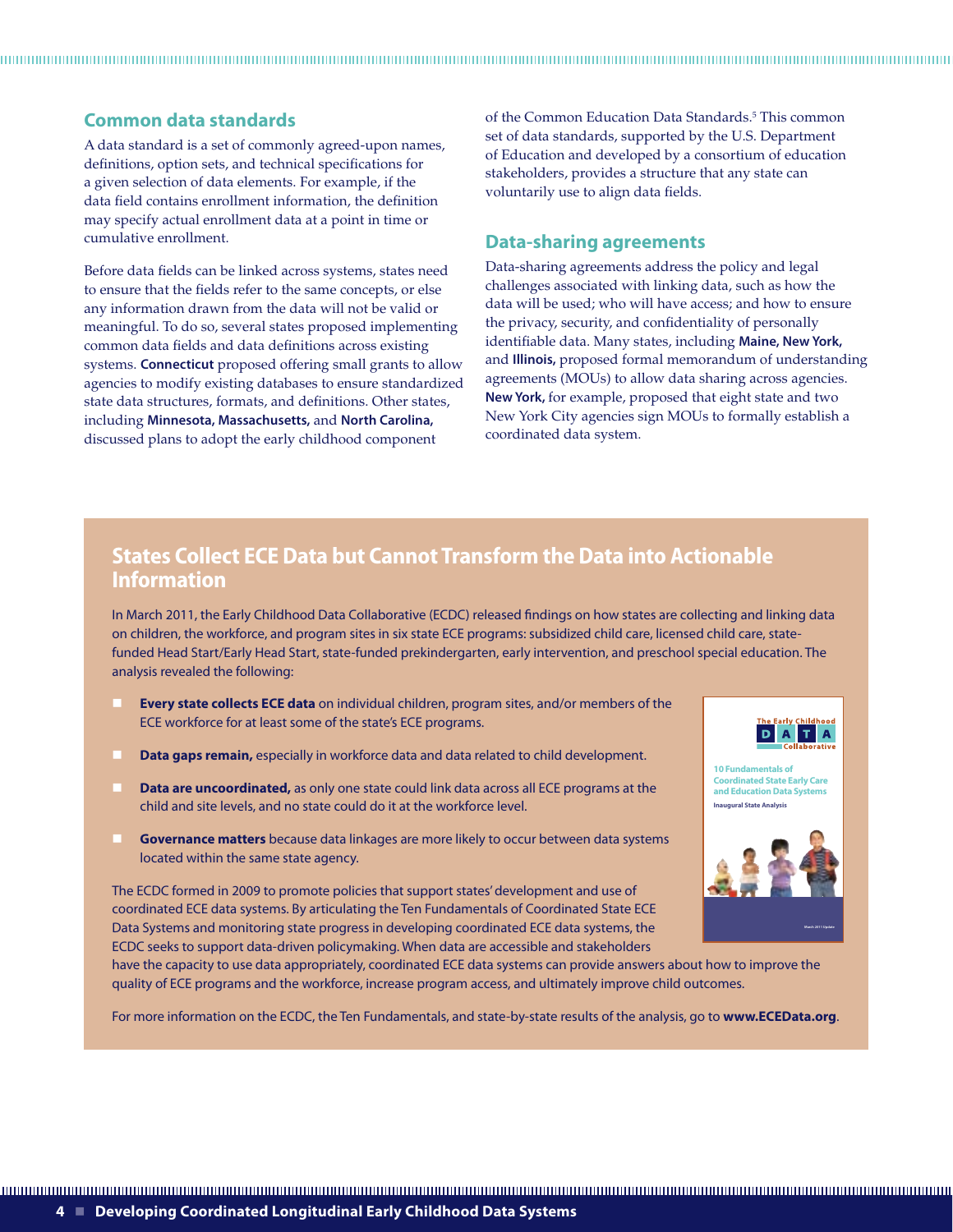# **Common data standards**

A data standard is a set of commonly agreed-upon names, definitions, option sets, and technical specifications for a given selection of data elements. For example, if the data field contains enrollment information, the definition may specify actual enrollment data at a point in time or cumulative enrollment.

Before data fields can be linked across systems, states need to ensure that the fields refer to the same concepts, or else any information drawn from the data will not be valid or meaningful. To do so, several states proposed implementing common data fields and data definitions across existing systems. **Connecticut** proposed offering small grants to allow agencies to modify existing databases to ensure standardized state data structures, formats, and definitions. Other states, including **Minnesota, Massachusetts,** and **North Carolina,** discussed plans to adopt the early childhood component

of the Common Education Data Standards.<sup>5</sup> This common set of data standards, supported by the U.S. Department of Education and developed by a consortium of education stakeholders, provides a structure that any state can voluntarily use to align data fields.

## **Data-sharing agreements**

Data-sharing agreements address the policy and legal challenges associated with linking data, such as how the data will be used; who will have access; and how to ensure the privacy, security, and confidentiality of personally identifiable data. Many states, including **Maine, New York,**  and **Illinois,** proposed formal memorandum of understanding agreements (MOUs) to allow data sharing across agencies. **New York,** for example, proposed that eight state and two New York City agencies sign MOUs to formally establish a coordinated data system.

# **States Collect ECE Data but Cannot Transform the Data into Actionable Information**

In March 2011, the Early Childhood Data Collaborative (ECDC) released findings on how states are collecting and linking data on children, the workforce, and program sites in six state ECE programs: subsidized child care, licensed child care, statefunded Head Start/Early Head Start, state-funded prekindergarten, early intervention, and preschool special education. The analysis revealed the following:

- **Every state collects ECE data** on individual children, program sites, and/or members of the ECE workforce for at least some of the state's ECE programs.
- **Data gaps remain,** especially in workforce data and data related to child development.
- **Data are uncoordinated,** as only one state could link data across all ECE programs at the child and site levels, and no state could do it at the workforce level.
- **Governance matters** because data linkages are more likely to occur between data systems located within the same state agency.

The ECDC formed in 2009 to promote policies that support states' development and use of coordinated ECE data systems. By articulating the Ten Fundamentals of Coordinated State ECE Data Systems and monitoring state progress in developing coordinated ECE data systems, the ECDC seeks to support data-driven policymaking. When data are accessible and stakeholders

**10 Fundamentals of Coordinated State Early Care and Education Data System Inaugural State Analysis**



have the capacity to use data appropriately, coordinated ECE data systems can provide answers about how to improve the quality of ECE programs and the workforce, increase program access, and ultimately improve child outcomes.

For more information on the ECDC, the Ten Fundamentals, and state-by-state results of the analysis, go to **www.ECEData.org**.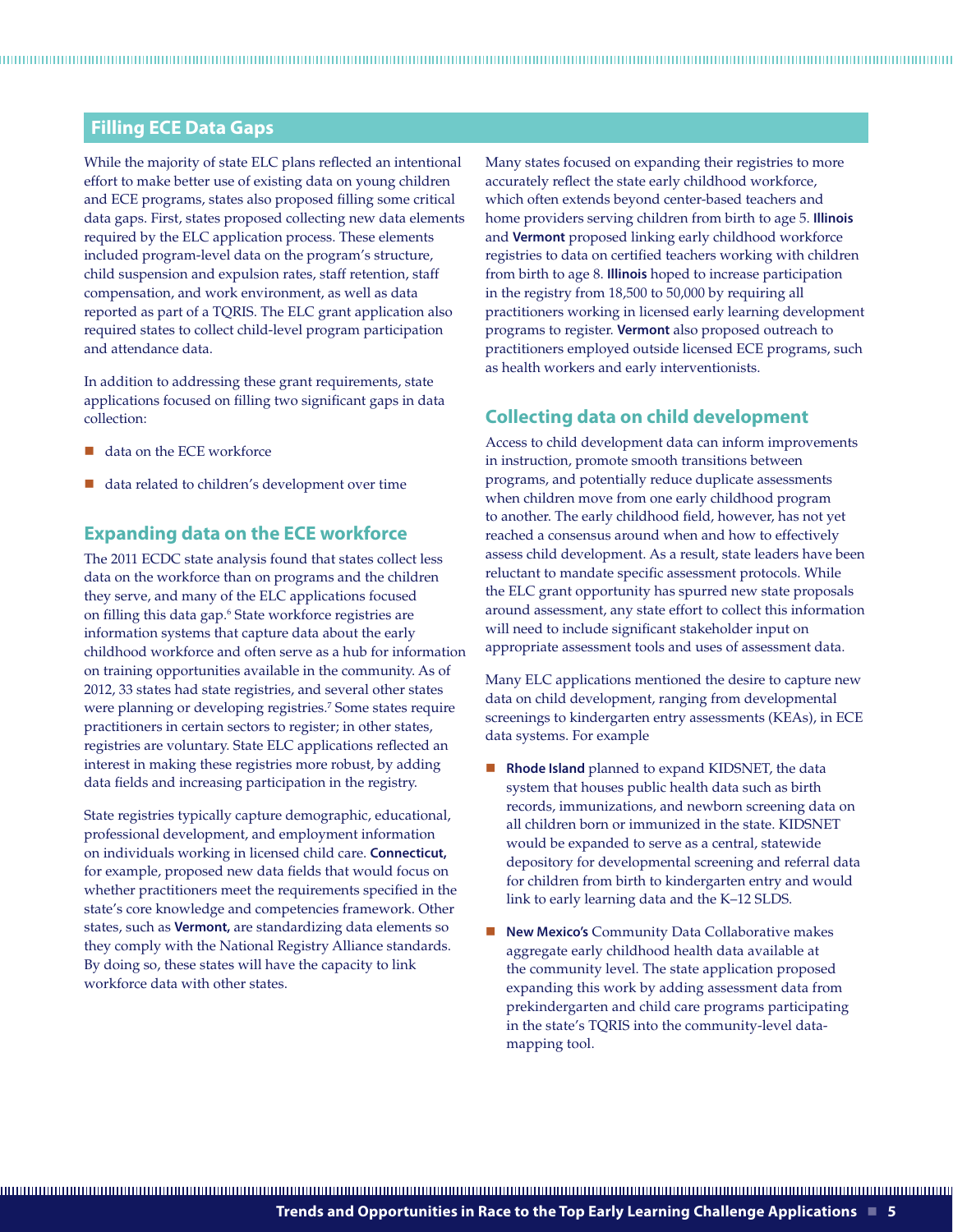## **Filling ECE Data Gaps**

While the majority of state ELC plans reflected an intentional effort to make better use of existing data on young children and ECE programs, states also proposed filling some critical data gaps. First, states proposed collecting new data elements required by the ELC application process. These elements included program-level data on the program's structure, child suspension and expulsion rates, staff retention, staff compensation, and work environment, as well as data reported as part of a TQRIS. The ELC grant application also required states to collect child-level program participation and attendance data.

In addition to addressing these grant requirements, state applications focused on filling two significant gaps in data collection:

- data on the ECE workforce
- data related to children's development over time

## **Expanding data on the ECE workforce**

The 2011 ECDC state analysis found that states collect less data on the workforce than on programs and the children they serve, and many of the ELC applications focused on filling this data gap.6 State workforce registries are information systems that capture data about the early childhood workforce and often serve as a hub for information on training opportunities available in the community. As of 2012, 33 states had state registries, and several other states were planning or developing registries.<sup>7</sup> Some states require practitioners in certain sectors to register; in other states, registries are voluntary. State ELC applications reflected an interest in making these registries more robust, by adding data fields and increasing participation in the registry.

State registries typically capture demographic, educational, professional development, and employment information on individuals working in licensed child care. **Connecticut,** for example, proposed new data fields that would focus on whether practitioners meet the requirements specified in the state's core knowledge and competencies framework. Other states, such as **Vermont,** are standardizing data elements so they comply with the National Registry Alliance standards. By doing so, these states will have the capacity to link workforce data with other states.

Many states focused on expanding their registries to more accurately reflect the state early childhood workforce, which often extends beyond center-based teachers and home providers serving children from birth to age 5. **Illinois** and **Vermont** proposed linking early childhood workforce registries to data on certified teachers working with children from birth to age 8. **Illinois** hoped to increase participation in the registry from 18,500 to 50,000 by requiring all practitioners working in licensed early learning development programs to register. **Vermont** also proposed outreach to practitioners employed outside licensed ECE programs, such as health workers and early interventionists.

# **Collecting data on child development**

Access to child development data can inform improvements in instruction, promote smooth transitions between programs, and potentially reduce duplicate assessments when children move from one early childhood program to another. The early childhood field, however, has not yet reached a consensus around when and how to effectively assess child development. As a result, state leaders have been reluctant to mandate specific assessment protocols. While the ELC grant opportunity has spurred new state proposals around assessment, any state effort to collect this information will need to include significant stakeholder input on appropriate assessment tools and uses of assessment data.

Many ELC applications mentioned the desire to capture new data on child development, ranging from developmental screenings to kindergarten entry assessments (KEAs), in ECE data systems. For example

- **Rhode Island** planned to expand KIDSNET, the data system that houses public health data such as birth records, immunizations, and newborn screening data on all children born or immunized in the state. KIDSNET would be expanded to serve as a central, statewide depository for developmental screening and referral data for children from birth to kindergarten entry and would link to early learning data and the K–12 SLDS.
- **New Mexico's** Community Data Collaborative makes aggregate early childhood health data available at the community level. The state application proposed expanding this work by adding assessment data from prekindergarten and child care programs participating in the state's TQRIS into the community-level datamapping tool.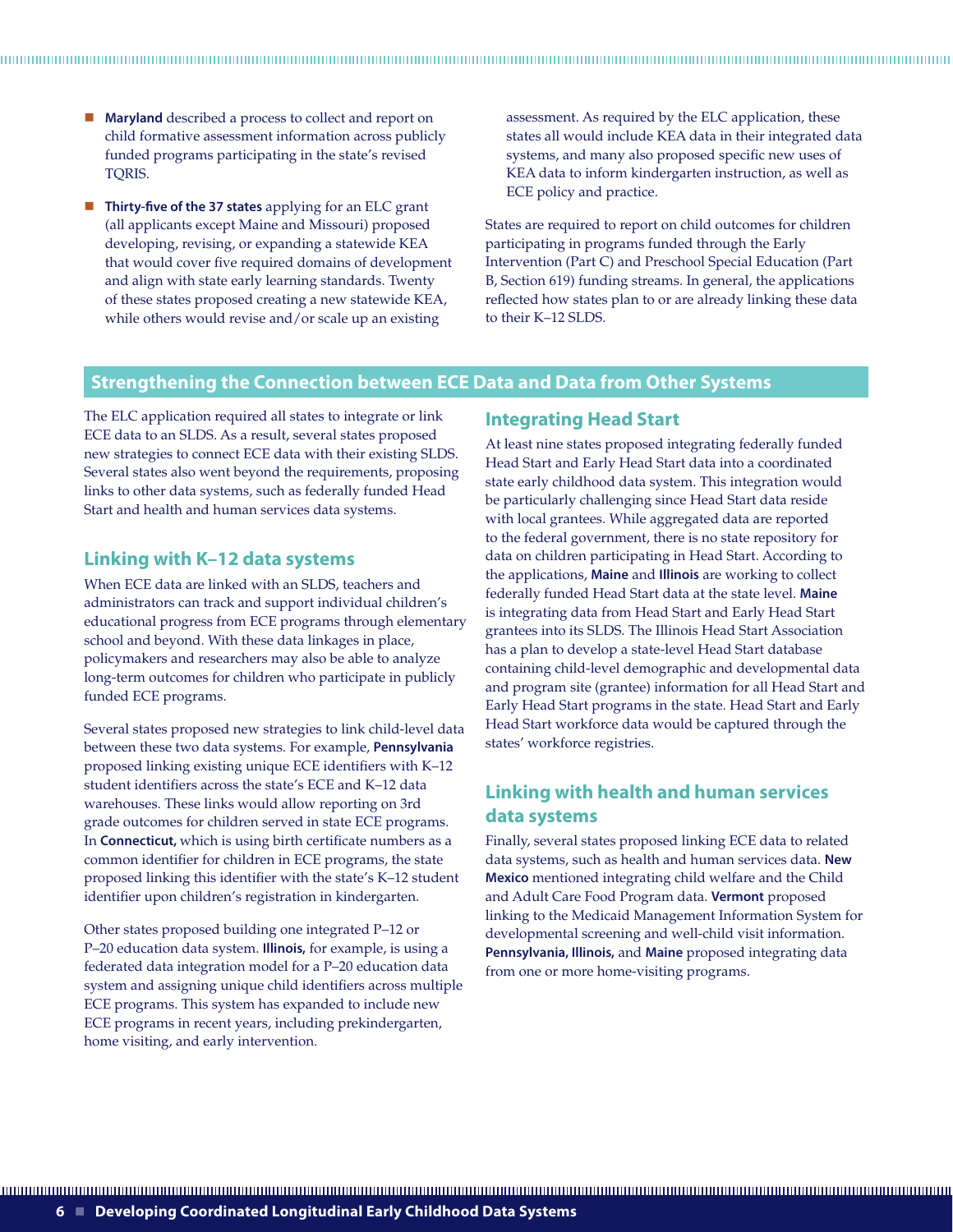- **Maryland** described a process to collect and report on child formative assessment information across publicly funded programs participating in the state's revised TQRIS.
- **Thirty-five of the 37 states** applying for an ELC grant (all applicants except Maine and Missouri) proposed developing, revising, or expanding a statewide KEA that would cover five required domains of development and align with state early learning standards. Twenty of these states proposed creating a new statewide KEA, while others would revise and/or scale up an existing

assessment. As required by the ELC application, these states all would include KEA data in their integrated data systems, and many also proposed specific new uses of KEA data to inform kindergarten instruction, as well as ECE policy and practice.

States are required to report on child outcomes for children participating in programs funded through the Early Intervention (Part C) and Preschool Special Education (Part B, Section 619) funding streams. In general, the applications reflected how states plan to or are already linking these data to their K–12 SLDS.

#### **Strengthening the Connection between ECE Data and Data from Other Systems**

The ELC application required all states to integrate or link ECE data to an SLDS. As a result, several states proposed new strategies to connect ECE data with their existing SLDS. Several states also went beyond the requirements, proposing links to other data systems, such as federally funded Head Start and health and human services data systems.

#### **Linking with K–12 data systems**

When ECE data are linked with an SLDS, teachers and administrators can track and support individual children's educational progress from ECE programs through elementary school and beyond. With these data linkages in place, policymakers and researchers may also be able to analyze long-term outcomes for children who participate in publicly funded ECE programs.

Several states proposed new strategies to link child-level data between these two data systems. For example, **Pennsylvania** proposed linking existing unique ECE identifiers with K–12 student identifiers across the state's ECE and K–12 data warehouses. These links would allow reporting on 3rd grade outcomes for children served in state ECE programs. In **Connecticut,** which is using birth certificate numbers as a common identifier for children in ECE programs, the state proposed linking this identifier with the state's K–12 student identifier upon children's registration in kindergarten.

Other states proposed building one integrated P–12 or P–20 education data system. **Illinois,** for example, is using a federated data integration model for a P–20 education data system and assigning unique child identifiers across multiple ECE programs. This system has expanded to include new ECE programs in recent years, including prekindergarten, home visiting, and early intervention.

#### **Integrating Head Start**

At least nine states proposed integrating federally funded Head Start and Early Head Start data into a coordinated state early childhood data system. This integration would be particularly challenging since Head Start data reside with local grantees. While aggregated data are reported to the federal government, there is no state repository for data on children participating in Head Start. According to the applications, **Maine** and **Illinois** are working to collect federally funded Head Start data at the state level. **Maine** is integrating data from Head Start and Early Head Start grantees into its SLDS. The Illinois Head Start Association has a plan to develop a state-level Head Start database containing child-level demographic and developmental data and program site (grantee) information for all Head Start and Early Head Start programs in the state. Head Start and Early Head Start workforce data would be captured through the states' workforce registries.

# **Linking with health and human services data systems**

Finally, several states proposed linking ECE data to related data systems, such as health and human services data. **New Mexico** mentioned integrating child welfare and the Child and Adult Care Food Program data. **Vermont** proposed linking to the Medicaid Management Information System for developmental screening and well-child visit information. **Pennsylvania, Illinois,** and **Maine** proposed integrating data from one or more home-visiting programs.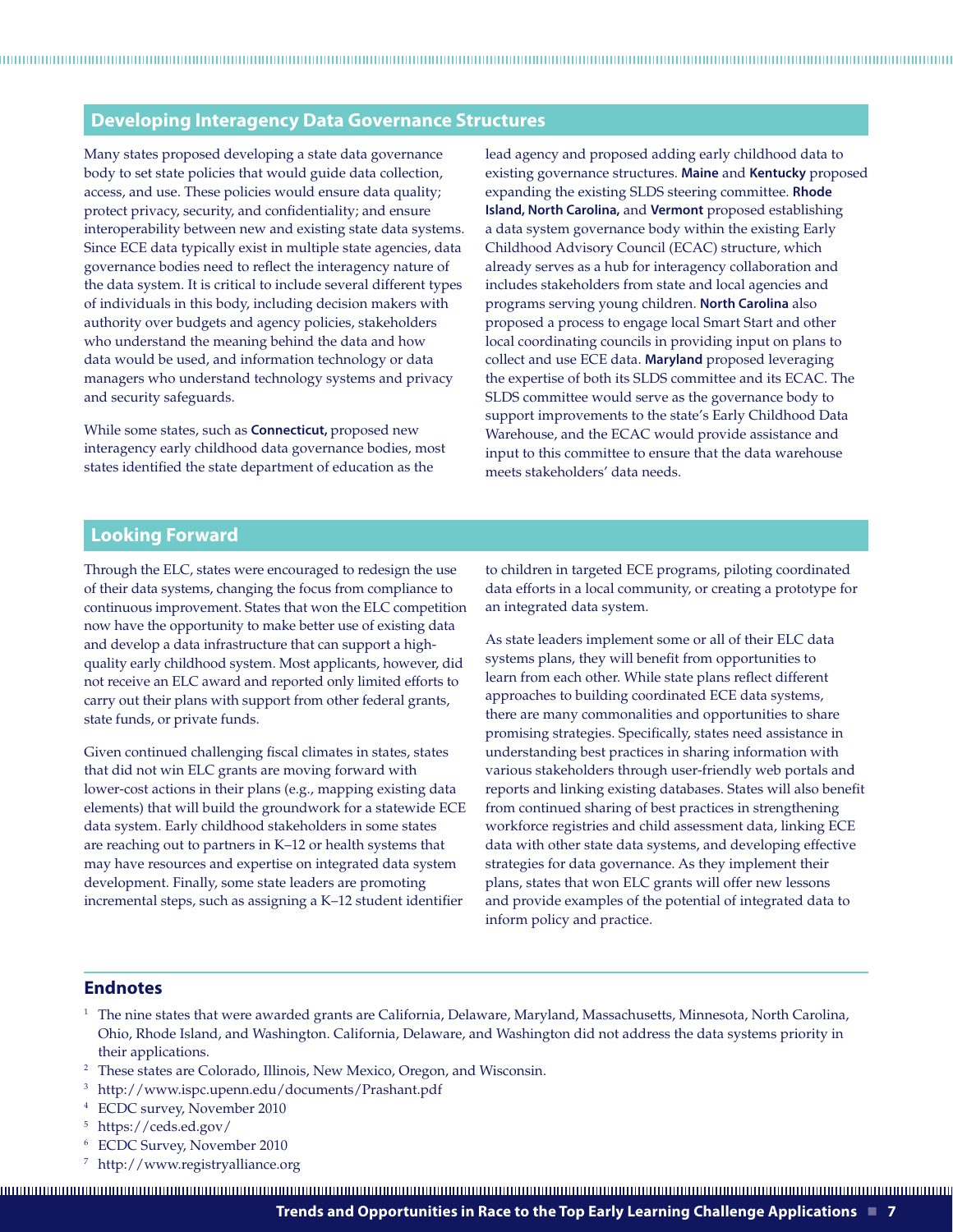## **Developing Interagency Data Governance Structures**

Many states proposed developing a state data governance body to set state policies that would guide data collection, access, and use. These policies would ensure data quality; protect privacy, security, and confidentiality; and ensure interoperability between new and existing state data systems. Since ECE data typically exist in multiple state agencies, data governance bodies need to reflect the interagency nature of the data system. It is critical to include several different types of individuals in this body, including decision makers with authority over budgets and agency policies, stakeholders who understand the meaning behind the data and how data would be used, and information technology or data managers who understand technology systems and privacy and security safeguards.

While some states, such as **Connecticut,** proposed new interagency early childhood data governance bodies, most states identified the state department of education as the

lead agency and proposed adding early childhood data to existing governance structures. **Maine** and **Kentucky** proposed expanding the existing SLDS steering committee. **Rhode Island, North Carolina,** and **Vermont** proposed establishing a data system governance body within the existing Early Childhood Advisory Council (ECAC) structure, which already serves as a hub for interagency collaboration and includes stakeholders from state and local agencies and programs serving young children. **North Carolina** also proposed a process to engage local Smart Start and other local coordinating councils in providing input on plans to collect and use ECE data. **Maryland** proposed leveraging the expertise of both its SLDS committee and its ECAC. The SLDS committee would serve as the governance body to support improvements to the state's Early Childhood Data Warehouse, and the ECAC would provide assistance and input to this committee to ensure that the data warehouse meets stakeholders' data needs.

### **Looking Forward**

Through the ELC, states were encouraged to redesign the use of their data systems, changing the focus from compliance to continuous improvement. States that won the ELC competition now have the opportunity to make better use of existing data and develop a data infrastructure that can support a highquality early childhood system. Most applicants, however, did not receive an ELC award and reported only limited efforts to carry out their plans with support from other federal grants, state funds, or private funds.

Given continued challenging fiscal climates in states, states that did not win ELC grants are moving forward with lower-cost actions in their plans (e.g., mapping existing data elements) that will build the groundwork for a statewide ECE data system. Early childhood stakeholders in some states are reaching out to partners in K–12 or health systems that may have resources and expertise on integrated data system development. Finally, some state leaders are promoting incremental steps, such as assigning a K–12 student identifier

to children in targeted ECE programs, piloting coordinated data efforts in a local community, or creating a prototype for an integrated data system.

As state leaders implement some or all of their ELC data systems plans, they will benefit from opportunities to learn from each other. While state plans reflect different approaches to building coordinated ECE data systems, there are many commonalities and opportunities to share promising strategies. Specifically, states need assistance in understanding best practices in sharing information with various stakeholders through user-friendly web portals and reports and linking existing databases. States will also benefit from continued sharing of best practices in strengthening workforce registries and child assessment data, linking ECE data with other state data systems, and developing effective strategies for data governance. As they implement their plans, states that won ELC grants will offer new lessons and provide examples of the potential of integrated data to inform policy and practice.

#### **Endnotes**

- <sup>1</sup> The nine states that were awarded grants are California, Delaware, Maryland, Massachusetts, Minnesota, North Carolina, Ohio, Rhode Island, and Washington. California, Delaware, and Washington did not address the data systems priority in their applications.
- <sup>2</sup> These states are Colorado, Illinois, New Mexico, Oregon, and Wisconsin.
- 3 http://www.ispc.upenn.edu/documents/Prashant.pdf
- 4 ECDC survey, November 2010
- 5 https://ceds.ed.gov/
- 6 ECDC Survey, November 2010
- 7 http://www.registryalliance.org